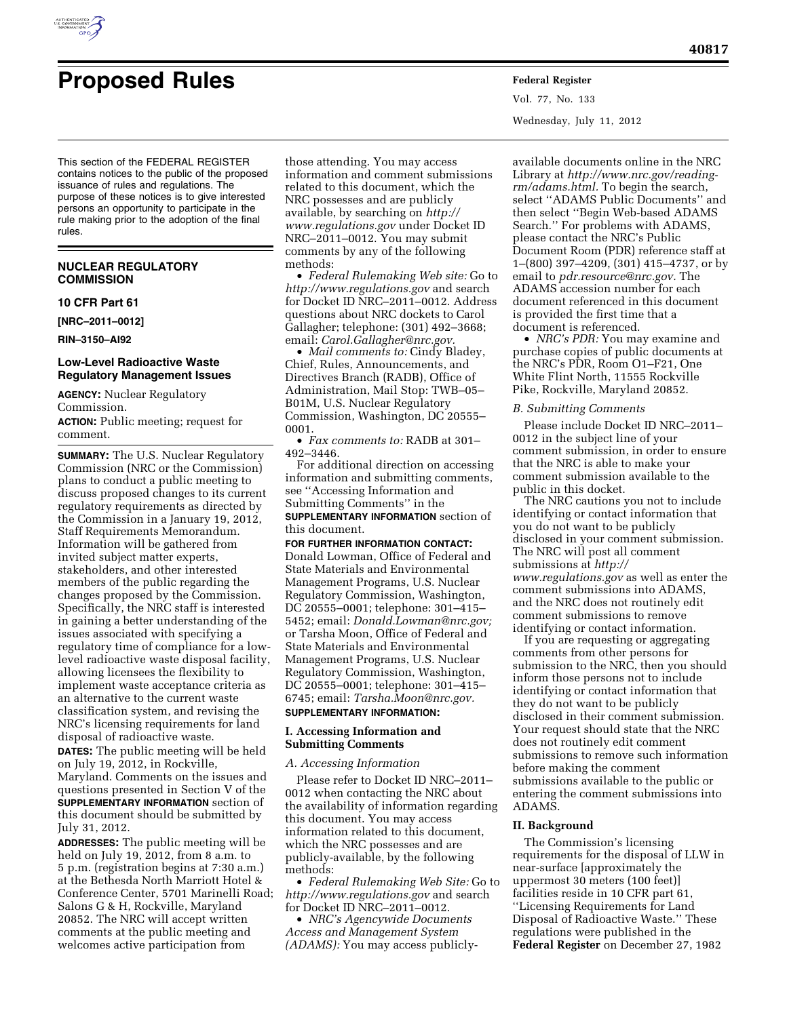

# **Proposed Rules Federal Register**

Vol. 77, No. 133 Wednesday, July 11, 2012

This section of the FEDERAL REGISTER contains notices to the public of the proposed issuance of rules and regulations. The purpose of these notices is to give interested persons an opportunity to participate in the rule making prior to the adoption of the final rules.

## **NUCLEAR REGULATORY COMMISSION**

## **10 CFR Part 61**

**[NRC–2011–0012]** 

**RIN–3150–AI92** 

## **Low-Level Radioactive Waste Regulatory Management Issues**

**AGENCY:** Nuclear Regulatory Commission.

**ACTION:** Public meeting; request for comment.

**SUMMARY:** The U.S. Nuclear Regulatory Commission (NRC or the Commission) plans to conduct a public meeting to discuss proposed changes to its current regulatory requirements as directed by the Commission in a January 19, 2012, Staff Requirements Memorandum. Information will be gathered from invited subject matter experts, stakeholders, and other interested members of the public regarding the changes proposed by the Commission. Specifically, the NRC staff is interested in gaining a better understanding of the issues associated with specifying a regulatory time of compliance for a lowlevel radioactive waste disposal facility, allowing licensees the flexibility to implement waste acceptance criteria as an alternative to the current waste classification system, and revising the NRC's licensing requirements for land disposal of radioactive waste.

**DATES:** The public meeting will be held on July 19, 2012, in Rockville, Maryland. Comments on the issues and questions presented in Section V of the **SUPPLEMENTARY INFORMATION** section of this document should be submitted by July 31, 2012.

**ADDRESSES:** The public meeting will be held on July 19, 2012, from 8 a.m. to 5 p.m. (registration begins at 7:30 a.m.) at the Bethesda North Marriott Hotel & Conference Center, 5701 Marinelli Road; Salons G & H, Rockville, Maryland 20852. The NRC will accept written comments at the public meeting and welcomes active participation from

those attending. You may access information and comment submissions related to this document, which the NRC possesses and are publicly available, by searching on *[http://](http://www.regulations.gov)  [www.regulations.gov](http://www.regulations.gov)* under Docket ID NRC–2011–0012. You may submit comments by any of the following methods:

• *Federal Rulemaking Web site:* Go to *<http://www.regulations.gov>* and search for Docket ID NRC–2011–0012. Address questions about NRC dockets to Carol Gallagher; telephone: (301) 492–3668; email: *[Carol.Gallagher@nrc.gov.](mailto:Carol.Gallagher@nrc.gov)* 

• *Mail comments to:* Cindy Bladey, Chief, Rules, Announcements, and Directives Branch (RADB), Office of Administration, Mail Stop: TWB–05– B01M, U.S. Nuclear Regulatory Commission, Washington, DC 20555– 0001.

• *Fax comments to:* RADB at 301– 492–3446.

For additional direction on accessing information and submitting comments, see ''Accessing Information and Submitting Comments'' in the **SUPPLEMENTARY INFORMATION** section of this document.

## **FOR FURTHER INFORMATION CONTACT:**

Donald Lowman, Office of Federal and State Materials and Environmental Management Programs, U.S. Nuclear Regulatory Commission, Washington, DC 20555–0001; telephone: 301–415– 5452; email: *[Donald.Lowman@nrc.gov;](mailto:Donald.Lowman@nrc.gov)*  or Tarsha Moon, Office of Federal and State Materials and Environmental Management Programs, U.S. Nuclear Regulatory Commission, Washington, DC 20555–0001; telephone: 301–415– 6745; email: *[Tarsha.Moon@nrc.gov.](mailto:Tarsha.Moon@nrc.gov)* 

## **SUPPLEMENTARY INFORMATION:**

#### **I. Accessing Information and Submitting Comments**

*A. Accessing Information* 

Please refer to Docket ID NRC–2011– 0012 when contacting the NRC about the availability of information regarding this document. You may access information related to this document, which the NRC possesses and are publicly-available, by the following methods:

• *Federal Rulemaking Web Site:* Go to *<http://www.regulations.gov>* and search for Docket ID NRC–2011–0012.

• *NRC's Agencywide Documents Access and Management System (ADAMS):* You may access publicly-

available documents online in the NRC Library at *[http://www.nrc.gov/reading](http://www.nrc.gov/reading-rm/adams.html)[rm/adams.html.](http://www.nrc.gov/reading-rm/adams.html)* To begin the search, select ''ADAMS Public Documents'' and then select ''Begin Web-based ADAMS Search.'' For problems with ADAMS, please contact the NRC's Public Document Room (PDR) reference staff at 1–(800) 397–4209, (301) 415–4737, or by email to *[pdr.resource@nrc.gov.](mailto:pdr.resource@nrc.gov)* The ADAMS accession number for each document referenced in this document is provided the first time that a document is referenced.

• *NRC's PDR:* You may examine and purchase copies of public documents at the NRC's PDR, Room O1–F21, One White Flint North, 11555 Rockville Pike, Rockville, Maryland 20852.

#### *B. Submitting Comments*

Please include Docket ID NRC–2011– 0012 in the subject line of your comment submission, in order to ensure that the NRC is able to make your comment submission available to the public in this docket.

The NRC cautions you not to include identifying or contact information that you do not want to be publicly disclosed in your comment submission. The NRC will post all comment submissions at *[http://](http://www.regulations.gov)  [www.regulations.gov](http://www.regulations.gov)* as well as enter the comment submissions into ADAMS, and the NRC does not routinely edit comment submissions to remove identifying or contact information.

If you are requesting or aggregating comments from other persons for submission to the NRC, then you should inform those persons not to include identifying or contact information that they do not want to be publicly disclosed in their comment submission. Your request should state that the NRC does not routinely edit comment submissions to remove such information before making the comment submissions available to the public or entering the comment submissions into ADAMS.

## **II. Background**

The Commission's licensing requirements for the disposal of LLW in near-surface [approximately the uppermost 30 meters (100 feet)] facilities reside in 10 CFR part 61, ''Licensing Requirements for Land Disposal of Radioactive Waste.'' These regulations were published in the **Federal Register** on December 27, 1982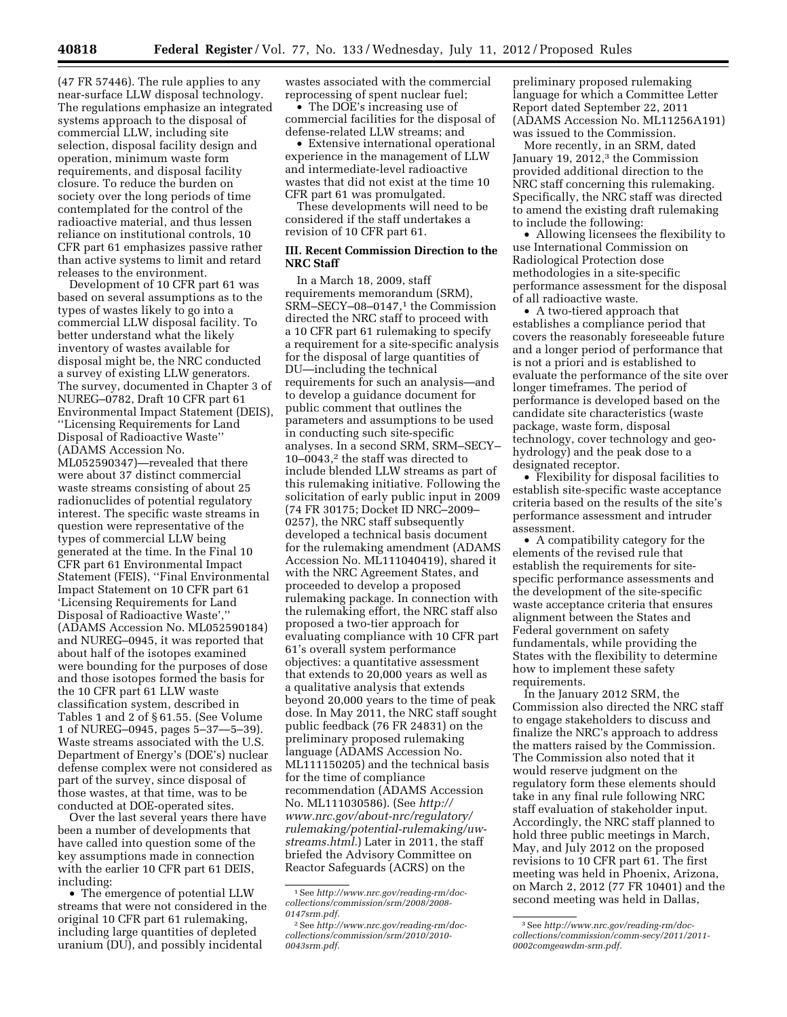(47 FR 57446). The rule applies to any near-surface LLW disposal technology. The regulations emphasize an integrated systems approach to the disposal of commercial LLW, including site selection, disposal facility design and operation, minimum waste form requirements, and disposal facility closure. To reduce the burden on society over the long periods of time contemplated for the control of the radioactive material, and thus lessen reliance on institutional controls, 10 CFR part 61 emphasizes passive rather than active systems to limit and retard releases to the environment.

Development of 10 CFR part 61 was based on several assumptions as to the types of wastes likely to go into a commercial LLW disposal facility. To better understand what the likely inventory of wastes available for disposal might be, the NRC conducted a survey of existing LLW generators. The survey, documented in Chapter 3 of NUREG–0782, Draft 10 CFR part 61 Environmental Impact Statement (DEIS), ''Licensing Requirements for Land Disposal of Radioactive Waste'' (ADAMS Accession No. ML052590347)—revealed that there were about 37 distinct commercial waste streams consisting of about 25 radionuclides of potential regulatory interest. The specific waste streams in question were representative of the types of commercial LLW being generated at the time. In the Final 10 CFR part 61 Environmental Impact Statement (FEIS), ''Final Environmental Impact Statement on 10 CFR part 61 'Licensing Requirements for Land Disposal of Radioactive Waste','' (ADAMS Accession No. ML052590184) and NUREG–0945, it was reported that about half of the isotopes examined were bounding for the purposes of dose and those isotopes formed the basis for the 10 CFR part 61 LLW waste classification system, described in Tables 1 and 2 of § 61.55. (See Volume 1 of NUREG–0945, pages 5–37—5–39). Waste streams associated with the U.S. Department of Energy's (DOE's) nuclear defense complex were not considered as part of the survey, since disposal of those wastes, at that time, was to be conducted at DOE-operated sites.

Over the last several years there have been a number of developments that have called into question some of the key assumptions made in connection with the earlier 10 CFR part 61 DEIS, including:

• The emergence of potential LLW streams that were not considered in the original 10 CFR part 61 rulemaking, including large quantities of depleted uranium (DU), and possibly incidental

wastes associated with the commercial reprocessing of spent nuclear fuel;

• The DOE's increasing use of commercial facilities for the disposal of defense-related LLW streams; and

• Extensive international operational experience in the management of LLW and intermediate-level radioactive wastes that did not exist at the time 10 CFR part 61 was promulgated.

These developments will need to be considered if the staff undertakes a revision of 10 CFR part 61.

## **III. Recent Commission Direction to the NRC Staff**

In a March 18, 2009, staff requirements memorandum (SRM), SRM-SECY-08-0147,<sup>1</sup> the Commission directed the NRC staff to proceed with a 10 CFR part 61 rulemaking to specify a requirement for a site-specific analysis for the disposal of large quantities of DU—including the technical requirements for such an analysis—and to develop a guidance document for public comment that outlines the parameters and assumptions to be used in conducting such site-specific analyses. In a second SRM, SRM–SECY– 10–0043,2 the staff was directed to include blended LLW streams as part of this rulemaking initiative. Following the solicitation of early public input in 2009 (74 FR 30175; Docket ID NRC–2009– 0257), the NRC staff subsequently developed a technical basis document for the rulemaking amendment (ADAMS Accession No. ML111040419), shared it with the NRC Agreement States, and proceeded to develop a proposed rulemaking package. In connection with the rulemaking effort, the NRC staff also proposed a two-tier approach for evaluating compliance with 10 CFR part 61's overall system performance objectives: a quantitative assessment that extends to 20,000 years as well as a qualitative analysis that extends beyond 20,000 years to the time of peak dose. In May 2011, the NRC staff sought public feedback (76 FR 24831) on the preliminary proposed rulemaking language (ADAMS Accession No. ML111150205) and the technical basis for the time of compliance recommendation (ADAMS Accession No. ML111030586). (See *[http://](http://www.nrc.gov/about-nrc/regulatory/rulemaking/potential-rulemaking/uw-streams.html) [www.nrc.gov/about-nrc/regulatory/](http://www.nrc.gov/about-nrc/regulatory/rulemaking/potential-rulemaking/uw-streams.html)  [rulemaking/potential-rulemaking/uw](http://www.nrc.gov/about-nrc/regulatory/rulemaking/potential-rulemaking/uw-streams.html)[streams.html.](http://www.nrc.gov/about-nrc/regulatory/rulemaking/potential-rulemaking/uw-streams.html)*) Later in 2011, the staff briefed the Advisory Committee on Reactor Safeguards (ACRS) on the

preliminary proposed rulemaking language for which a Committee Letter Report dated September 22, 2011 (ADAMS Accession No. ML11256A191) was issued to the Commission.

More recently, in an SRM, dated January 19, 2012,<sup>3</sup> the Commission provided additional direction to the NRC staff concerning this rulemaking. Specifically, the NRC staff was directed to amend the existing draft rulemaking to include the following:

• Allowing licensees the flexibility to use International Commission on Radiological Protection dose methodologies in a site-specific performance assessment for the disposal of all radioactive waste.

• A two-tiered approach that establishes a compliance period that covers the reasonably foreseeable future and a longer period of performance that is not a priori and is established to evaluate the performance of the site over longer timeframes. The period of performance is developed based on the candidate site characteristics (waste package, waste form, disposal technology, cover technology and geohydrology) and the peak dose to a designated receptor.

• Flexibility for disposal facilities to establish site-specific waste acceptance criteria based on the results of the site's performance assessment and intruder assessment.

• A compatibility category for the elements of the revised rule that establish the requirements for sitespecific performance assessments and the development of the site-specific waste acceptance criteria that ensures alignment between the States and Federal government on safety fundamentals, while providing the States with the flexibility to determine how to implement these safety requirements.

In the January 2012 SRM, the Commission also directed the NRC staff to engage stakeholders to discuss and finalize the NRC's approach to address the matters raised by the Commission. The Commission also noted that it would reserve judgment on the regulatory form these elements should take in any final rule following NRC staff evaluation of stakeholder input. Accordingly, the NRC staff planned to hold three public meetings in March, May, and July 2012 on the proposed revisions to 10 CFR part 61. The first meeting was held in Phoenix, Arizona, on March 2, 2012 (77 FR 10401) and the second meeting was held in Dallas,

<sup>1</sup>See *[http://www.nrc.gov/reading-rm/doc](http://www.nrc.gov/reading-rm/doc-collections/commission/srm/2008/2008-0147srm.pdf)[collections/commission/srm/2008/2008-](http://www.nrc.gov/reading-rm/doc-collections/commission/srm/2008/2008-0147srm.pdf)  [0147srm.pdf.](http://www.nrc.gov/reading-rm/doc-collections/commission/srm/2008/2008-0147srm.pdf)* 

<sup>2</sup>See *[http://www.nrc.gov/reading-rm/doc](http://www.nrc.gov/reading-rm/doc-collections/commission/srm/2010/2010-0043srm.pdf)[collections/commission/srm/2010/2010-](http://www.nrc.gov/reading-rm/doc-collections/commission/srm/2010/2010-0043srm.pdf)  [0043srm.pdf.](http://www.nrc.gov/reading-rm/doc-collections/commission/srm/2010/2010-0043srm.pdf)* 

<sup>3</sup>See *[http://www.nrc.gov/reading-rm/doc](http://www.nrc.gov/reading-rm/doc-collections/commission/comm-secy/2011/2011-0002comgeawdm-srm.pdf)[collections/commission/comm-secy/2011/2011-](http://www.nrc.gov/reading-rm/doc-collections/commission/comm-secy/2011/2011-0002comgeawdm-srm.pdf)  [0002comgeawdm-srm.pdf.](http://www.nrc.gov/reading-rm/doc-collections/commission/comm-secy/2011/2011-0002comgeawdm-srm.pdf)*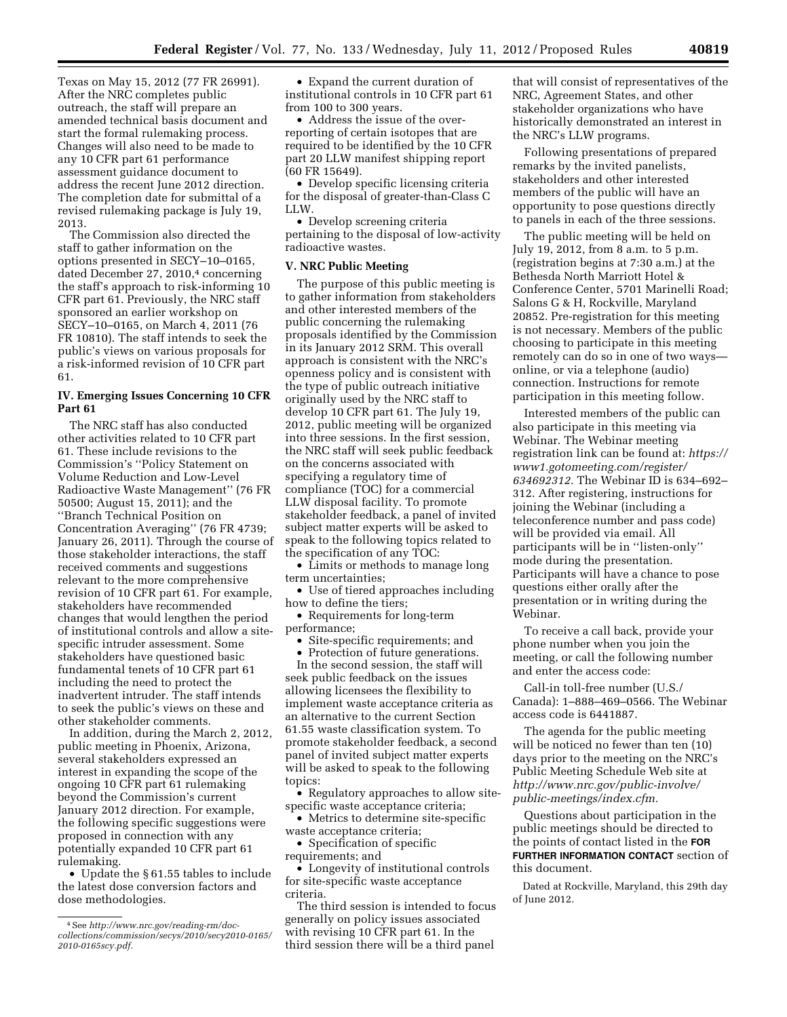Texas on May 15, 2012 (77 FR 26991). After the NRC completes public outreach, the staff will prepare an amended technical basis document and start the formal rulemaking process. Changes will also need to be made to any 10 CFR part 61 performance assessment guidance document to address the recent June 2012 direction. The completion date for submittal of a revised rulemaking package is July 19, 2013.

The Commission also directed the staff to gather information on the options presented in SECY–10–0165, dated December 27, 2010,<sup>4</sup> concerning the staff's approach to risk-informing 10 CFR part 61. Previously, the NRC staff sponsored an earlier workshop on SECY–10–0165, on March 4, 2011 (76 FR 10810). The staff intends to seek the public's views on various proposals for a risk-informed revision of 10 CFR part 61.

## **IV. Emerging Issues Concerning 10 CFR Part 61**

The NRC staff has also conducted other activities related to 10 CFR part 61. These include revisions to the Commission's ''Policy Statement on Volume Reduction and Low-Level Radioactive Waste Management'' (76 FR 50500; August 15, 2011); and the ''Branch Technical Position on Concentration Averaging'' (76 FR 4739; January 26, 2011). Through the course of those stakeholder interactions, the staff received comments and suggestions relevant to the more comprehensive revision of 10 CFR part 61. For example, stakeholders have recommended changes that would lengthen the period of institutional controls and allow a sitespecific intruder assessment. Some stakeholders have questioned basic fundamental tenets of 10 CFR part 61 including the need to protect the inadvertent intruder. The staff intends to seek the public's views on these and other stakeholder comments.

In addition, during the March 2, 2012, public meeting in Phoenix, Arizona, several stakeholders expressed an interest in expanding the scope of the ongoing 10 CFR part 61 rulemaking beyond the Commission's current January 2012 direction. For example, the following specific suggestions were proposed in connection with any potentially expanded 10 CFR part 61 rulemaking.

• Update the § 61.55 tables to include the latest dose conversion factors and dose methodologies.

• Expand the current duration of institutional controls in 10 CFR part 61 from 100 to 300 years.

• Address the issue of the overreporting of certain isotopes that are required to be identified by the 10 CFR part 20 LLW manifest shipping report (60 FR 15649).

• Develop specific licensing criteria for the disposal of greater-than-Class C LLW.

• Develop screening criteria pertaining to the disposal of low-activity radioactive wastes.

#### **V. NRC Public Meeting**

The purpose of this public meeting is to gather information from stakeholders and other interested members of the public concerning the rulemaking proposals identified by the Commission in its January 2012 SRM. This overall approach is consistent with the NRC's openness policy and is consistent with the type of public outreach initiative originally used by the NRC staff to develop 10 CFR part 61. The July 19, 2012, public meeting will be organized into three sessions. In the first session, the NRC staff will seek public feedback on the concerns associated with specifying a regulatory time of compliance (TOC) for a commercial LLW disposal facility. To promote stakeholder feedback, a panel of invited subject matter experts will be asked to speak to the following topics related to the specification of any TOC:

• Limits or methods to manage long term uncertainties;

• Use of tiered approaches including how to define the tiers;

• Requirements for long-term performance;

• Site-specific requirements; and

• Protection of future generations.

In the second session, the staff will seek public feedback on the issues allowing licensees the flexibility to implement waste acceptance criteria as an alternative to the current Section 61.55 waste classification system. To promote stakeholder feedback, a second panel of invited subject matter experts will be asked to speak to the following topics:

• Regulatory approaches to allow sitespecific waste acceptance criteria;

• Metrics to determine site-specific waste acceptance criteria;

• Specification of specific requirements; and

• Longevity of institutional controls for site-specific waste acceptance criteria.

The third session is intended to focus generally on policy issues associated with revising 10 CFR part 61. In the third session there will be a third panel

that will consist of representatives of the NRC, Agreement States, and other stakeholder organizations who have historically demonstrated an interest in the NRC's LLW programs.

Following presentations of prepared remarks by the invited panelists, stakeholders and other interested members of the public will have an opportunity to pose questions directly to panels in each of the three sessions.

The public meeting will be held on July 19, 2012, from 8 a.m. to 5 p.m. (registration begins at 7:30 a.m.) at the Bethesda North Marriott Hotel & Conference Center, 5701 Marinelli Road; Salons G & H, Rockville, Maryland 20852. Pre-registration for this meeting is not necessary. Members of the public choosing to participate in this meeting remotely can do so in one of two ways online, or via a telephone (audio) connection. Instructions for remote participation in this meeting follow.

Interested members of the public can also participate in this meeting via Webinar. The Webinar meeting registration link can be found at: *[https://](https://www1.gotomeeting.com/register/634692312) [www1.gotomeeting.com/register/](https://www1.gotomeeting.com/register/634692312)  [634692312.](https://www1.gotomeeting.com/register/634692312)* The Webinar ID is 634–692– 312. After registering, instructions for joining the Webinar (including a teleconference number and pass code) will be provided via email. All participants will be in ''listen-only'' mode during the presentation. Participants will have a chance to pose questions either orally after the presentation or in writing during the Webinar.

To receive a call back, provide your phone number when you join the meeting, or call the following number and enter the access code:

Call-in toll-free number (U.S./ Canada): 1–888–469–0566. The Webinar access code is 6441887.

The agenda for the public meeting will be noticed no fewer than ten (10) days prior to the meeting on the NRC's Public Meeting Schedule Web site at *[http://www.nrc.gov/public-involve/](http://www.nrc.gov/public-involve/public-meetings/index.cfm)  [public-meetings/index.cfm.](http://www.nrc.gov/public-involve/public-meetings/index.cfm)* 

Questions about participation in the public meetings should be directed to the points of contact listed in the **FOR FURTHER INFORMATION CONTACT** section of this document.

Dated at Rockville, Maryland, this 29th day of June 2012.

<sup>4</sup>See *[http://www.nrc.gov/reading-rm/doc](http://www.nrc.gov/reading-rm/doc-collections/commission/secys/2010/secy2010-0165/2010-0165scy.pdf)[collections/commission/secys/2010/secy2010-0165/](http://www.nrc.gov/reading-rm/doc-collections/commission/secys/2010/secy2010-0165/2010-0165scy.pdf) [2010-0165scy.pdf.](http://www.nrc.gov/reading-rm/doc-collections/commission/secys/2010/secy2010-0165/2010-0165scy.pdf)*